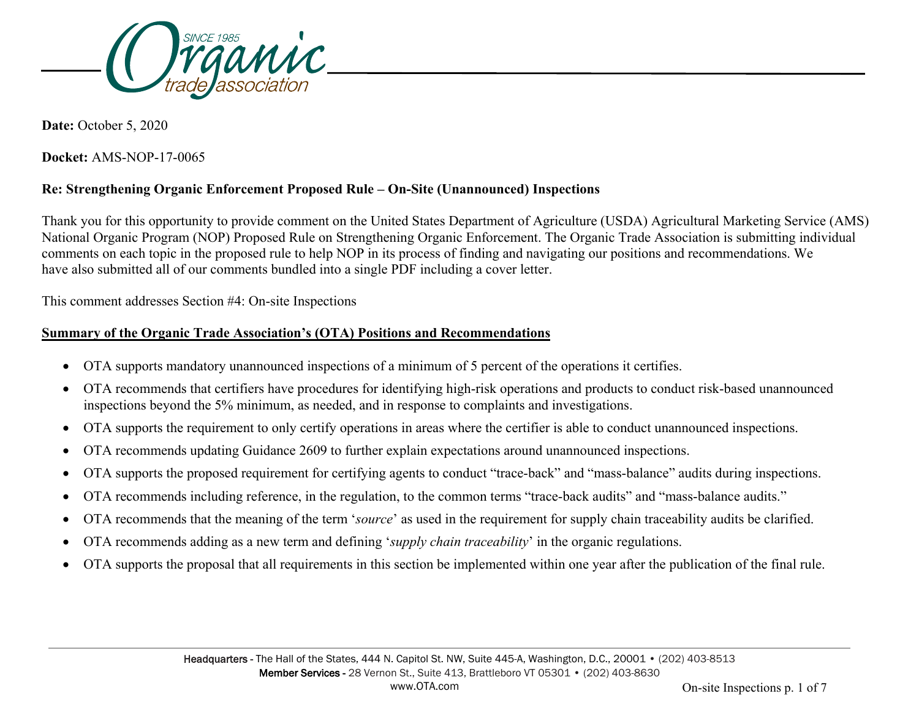

**Date:** October 5, 2020

**Docket:** AMS-NOP-17-0065

# **Re: Strengthening Organic Enforcement Proposed Rule – On-Site (Unannounced) Inspections**

Thank you for this opportunity to provide comment on the United States Department of Agriculture (USDA) Agricultural Marketing Service (AMS) National Organic Program (NOP) Proposed Rule on Strengthening Organic Enforcement. The Organic Trade Association is submitting individual comments on each topic in the proposed rule to help NOP in its process of finding and navigating our positions and recommendations. We have also submitted all of our comments bundled into a single PDF including a cover letter.

This comment addresses Section #4: On-site Inspections

### **Summary of the Organic Trade Association's (OTA) Positions and Recommendations**

- OTA supports mandatory unannounced inspections of a minimum of 5 percent of the operations it certifies.
- OTA recommends that certifiers have procedures for identifying high-risk operations and products to conduct risk-based unannounced inspections beyond the 5% minimum, as needed, and in response to complaints and investigations.
- OTA supports the requirement to only certify operations in areas where the certifier is able to conduct unannounced inspections.
- OTA recommends updating Guidance 2609 to further explain expectations around unannounced inspections.
- OTA supports the proposed requirement for certifying agents to conduct "trace-back" and "mass-balance" audits during inspections.
- OTA recommends including reference, in the regulation, to the common terms "trace-back audits" and "mass-balance audits."
- OTA recommends that the meaning of the term '*source*' as used in the requirement for supply chain traceability audits be clarified.
- OTA recommends adding as a new term and defining '*supply chain traceability*' in the organic regulations.
- OTA supports the proposal that all requirements in this section be implemented within one year after the publication of the final rule.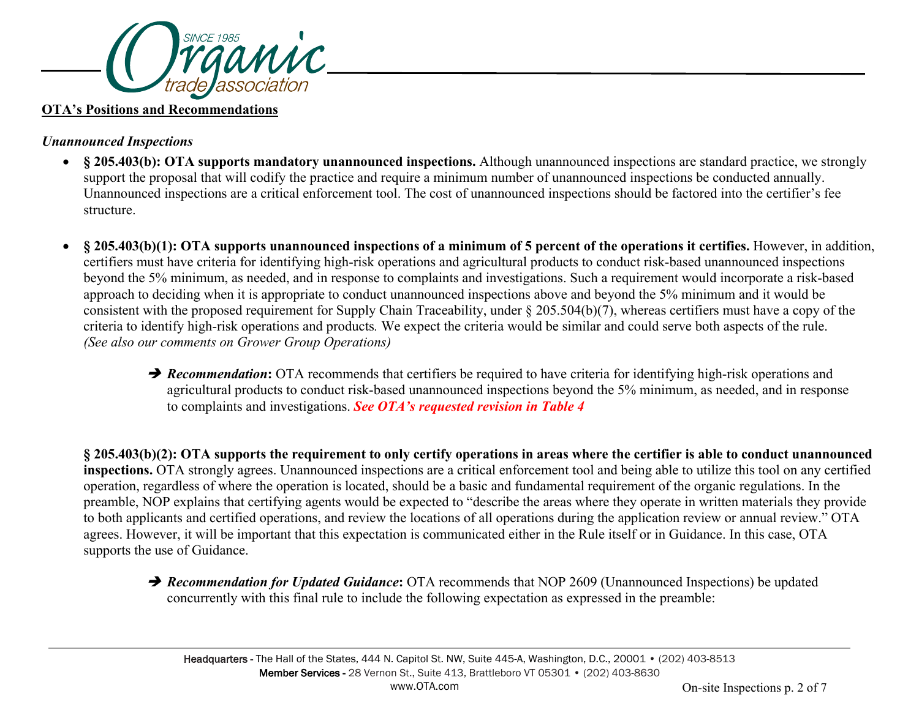

#### **OTA's Positions and Recommendations**

## *Unannounced Inspections*

- **§ 205.403(b): OTA supports mandatory unannounced inspections.** Although unannounced inspections are standard practice, we strongly support the proposal that will codify the practice and require a minimum number of unannounced inspections be conducted annually. Unannounced inspections are a critical enforcement tool. The cost of unannounced inspections should be factored into the certifier's fee structure.
- **§ 205.403(b)(1): OTA supports unannounced inspections of a minimum of 5 percent of the operations it certifies.** However, in addition, certifiers must have criteria for identifying high-risk operations and agricultural products to conduct risk-based unannounced inspections beyond the 5% minimum, as needed, and in response to complaints and investigations. Such a requirement would incorporate a risk-based approach to deciding when it is appropriate to conduct unannounced inspections above and beyond the 5% minimum and it would be consistent with the proposed requirement for Supply Chain Traceability, under § 205.504(b)(7), whereas certifiers must have a copy of the criteria to identify high-risk operations and products*.* We expect the criteria would be similar and could serve both aspects of the rule. *(See also our comments on Grower Group Operations)*
	- **P** Recommendation: OTA recommends that certifiers be required to have criteria for identifying high-risk operations and agricultural products to conduct risk-based unannounced inspections beyond the 5% minimum, as needed, and in response to complaints and investigations. *See OTA's requested revision in Table 4*

**§ 205.403(b)(2): OTA supports the requirement to only certify operations in areas where the certifier is able to conduct unannounced inspections.** OTA strongly agrees. Unannounced inspections are a critical enforcement tool and being able to utilize this tool on any certified operation, regardless of where the operation is located, should be a basic and fundamental requirement of the organic regulations. In the preamble, NOP explains that certifying agents would be expected to "describe the areas where they operate in written materials they provide to both applicants and certified operations, and review the locations of all operations during the application review or annual review." OTA agrees. However, it will be important that this expectation is communicated either in the Rule itself or in Guidance. In this case, OTA supports the use of Guidance.

**→ Recommendation for Updated Guidance:** OTA recommends that NOP 2609 (Unannounced Inspections) be updated concurrently with this final rule to include the following expectation as expressed in the preamble: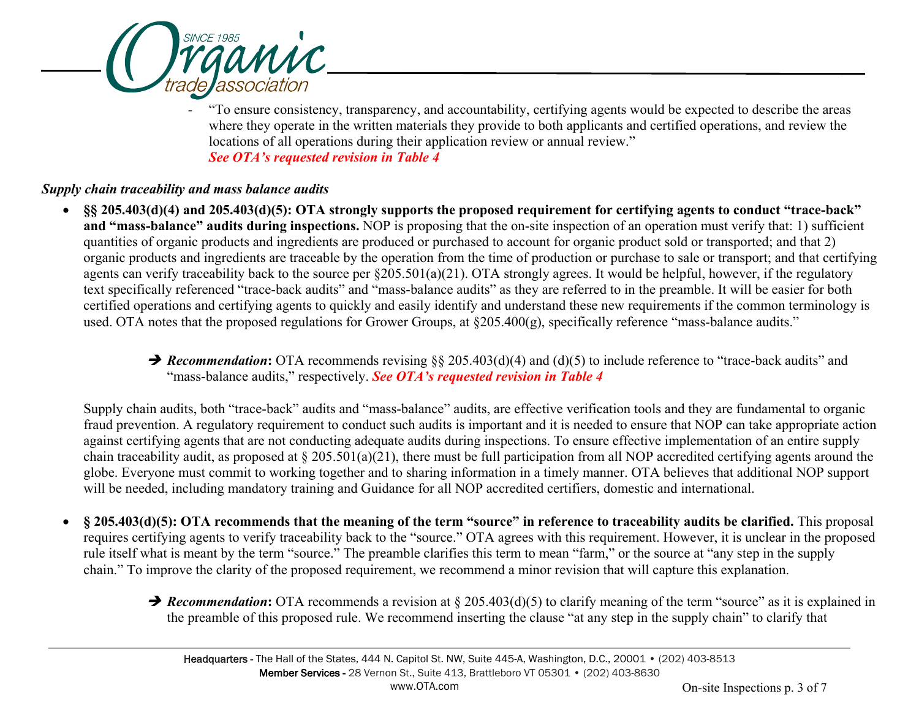

*-* "To ensure consistency, transparency, and accountability, certifying agents would be expected to describe the areas where they operate in the written materials they provide to both applicants and certified operations, and review the locations of all operations during their application review or annual review." *See OTA's requested revision in Table 4*

## *Supply chain traceability and mass balance audits*

- **§§ 205.403(d)(4) and 205.403(d)(5): OTA strongly supports the proposed requirement for certifying agents to conduct "trace-back" and "mass-balance" audits during inspections.** NOP is proposing that the on-site inspection of an operation must verify that: 1) sufficient quantities of organic products and ingredients are produced or purchased to account for organic product sold or transported; and that 2) organic products and ingredients are traceable by the operation from the time of production or purchase to sale or transport; and that certifying agents can verify traceability back to the source per §205.501(a)(21). OTA strongly agrees. It would be helpful, however, if the regulatory text specifically referenced "trace-back audits" and "mass-balance audits" as they are referred to in the preamble. It will be easier for both certified operations and certifying agents to quickly and easily identify and understand these new requirements if the common terminology is used. OTA notes that the proposed regulations for Grower Groups, at §205.400(g), specifically reference "mass-balance audits."
	- **→ Recommendation:** OTA recommends revising §§ 205.403(d)(4) and (d)(5) to include reference to "trace-back audits" and "mass-balance audits," respectively. *See OTA's requested revision in Table 4*

Supply chain audits, both "trace-back" audits and "mass-balance" audits, are effective verification tools and they are fundamental to organic fraud prevention. A regulatory requirement to conduct such audits is important and it is needed to ensure that NOP can take appropriate action against certifying agents that are not conducting adequate audits during inspections. To ensure effective implementation of an entire supply chain traceability audit, as proposed at  $\S 205.501(a)(21)$ , there must be full participation from all NOP accredited certifying agents around the globe. Everyone must commit to working together and to sharing information in a timely manner. OTA believes that additional NOP support will be needed, including mandatory training and Guidance for all NOP accredited certifiers, domestic and international.

- **§ 205.403(d)(5): OTA recommends that the meaning of the term "source" in reference to traceability audits be clarified.** This proposal requires certifying agents to verify traceability back to the "source." OTA agrees with this requirement. However, it is unclear in the proposed rule itself what is meant by the term "source." The preamble clarifies this term to mean "farm," or the source at "any step in the supply chain." To improve the clarity of the proposed requirement, we recommend a minor revision that will capture this explanation.
	- **→ Recommendation:** OTA recommends a revision at § 205.403(d)(5) to clarify meaning of the term "source" as it is explained in the preamble of this proposed rule. We recommend inserting the clause "at any step in the supply chain" to clarify that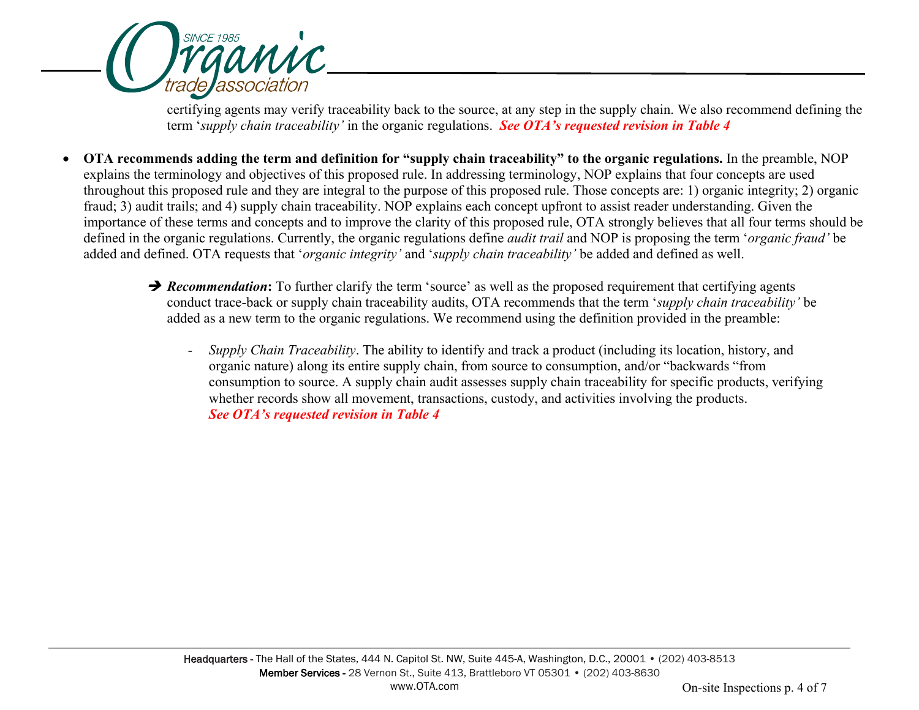

certifying agents may verify traceability back to the source, at any step in the supply chain. We also recommend defining the term '*supply chain traceability'* in the organic regulations. *See OTA's requested revision in Table 4* 

- **OTA recommends adding the term and definition for "supply chain traceability" to the organic regulations.** In the preamble, NOP explains the terminology and objectives of this proposed rule. In addressing terminology, NOP explains that four concepts are used throughout this proposed rule and they are integral to the purpose of this proposed rule. Those concepts are: 1) organic integrity; 2) organic fraud; 3) audit trails; and 4) supply chain traceability. NOP explains each concept upfront to assist reader understanding. Given the importance of these terms and concepts and to improve the clarity of this proposed rule, OTA strongly believes that all four terms should be defined in the organic regulations. Currently, the organic regulations define *audit trail* and NOP is proposing the term '*organic fraud'* be added and defined. OTA requests that '*organic integrity'* and '*supply chain traceability'* be added and defined as well.
	- **→ Recommendation:** To further clarify the term 'source' as well as the proposed requirement that certifying agents conduct trace-back or supply chain traceability audits, OTA recommends that the term '*supply chain traceability'* be added as a new term to the organic regulations. We recommend using the definition provided in the preamble:
		- *- Supply Chain Traceability*. The ability to identify and track a product (including its location, history, and organic nature) along its entire supply chain, from source to consumption, and/or "backwards "from consumption to source. A supply chain audit assesses supply chain traceability for specific products, verifying whether records show all movement, transactions, custody, and activities involving the products. *See OTA's requested revision in Table 4*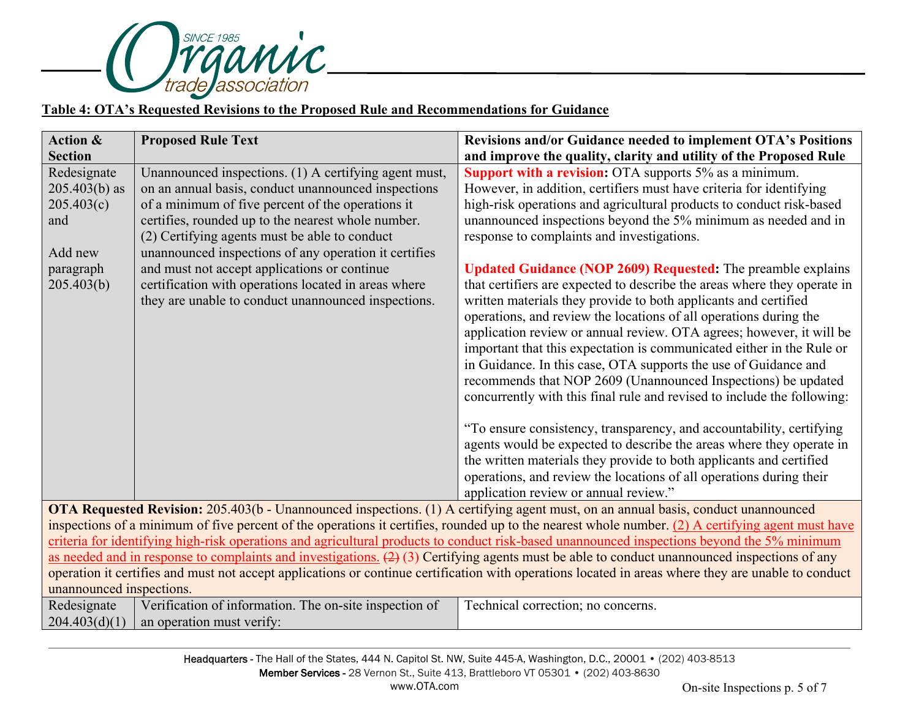

#### **Table 4: OTA's Requested Revisions to the Proposed Rule and Recommendations for Guidance**

| <b>Action &amp;</b>                                                                                                                                                                                                                           | <b>Proposed Rule Text</b>                                                                                                                                                                                                                                                                                                         | Revisions and/or Guidance needed to implement OTA's Positions                                                                                                                                                                                                                                                                                                                                                                                                                                                                                                                                                                                                                                                                                                                                                                                                                                                                                                                                  |  |
|-----------------------------------------------------------------------------------------------------------------------------------------------------------------------------------------------------------------------------------------------|-----------------------------------------------------------------------------------------------------------------------------------------------------------------------------------------------------------------------------------------------------------------------------------------------------------------------------------|------------------------------------------------------------------------------------------------------------------------------------------------------------------------------------------------------------------------------------------------------------------------------------------------------------------------------------------------------------------------------------------------------------------------------------------------------------------------------------------------------------------------------------------------------------------------------------------------------------------------------------------------------------------------------------------------------------------------------------------------------------------------------------------------------------------------------------------------------------------------------------------------------------------------------------------------------------------------------------------------|--|
| <b>Section</b>                                                                                                                                                                                                                                |                                                                                                                                                                                                                                                                                                                                   | and improve the quality, clarity and utility of the Proposed Rule                                                                                                                                                                                                                                                                                                                                                                                                                                                                                                                                                                                                                                                                                                                                                                                                                                                                                                                              |  |
| Redesignate<br>$205.403(b)$ as<br>205.403(c)<br>and<br>Add new                                                                                                                                                                                | Unannounced inspections. (1) A certifying agent must,<br>on an annual basis, conduct unannounced inspections<br>of a minimum of five percent of the operations it<br>certifies, rounded up to the nearest whole number.<br>(2) Certifying agents must be able to conduct<br>unannounced inspections of any operation it certifies | <b>Support with a revision:</b> OTA supports 5% as a minimum.<br>However, in addition, certifiers must have criteria for identifying<br>high-risk operations and agricultural products to conduct risk-based<br>unannounced inspections beyond the 5% minimum as needed and in<br>response to complaints and investigations.                                                                                                                                                                                                                                                                                                                                                                                                                                                                                                                                                                                                                                                                   |  |
| paragraph<br>205.403(b)                                                                                                                                                                                                                       | and must not accept applications or continue<br>certification with operations located in areas where<br>they are unable to conduct unannounced inspections.                                                                                                                                                                       | <b>Updated Guidance (NOP 2609) Requested:</b> The preamble explains<br>that certifiers are expected to describe the areas where they operate in<br>written materials they provide to both applicants and certified<br>operations, and review the locations of all operations during the<br>application review or annual review. OTA agrees; however, it will be<br>important that this expectation is communicated either in the Rule or<br>in Guidance. In this case, OTA supports the use of Guidance and<br>recommends that NOP 2609 (Unannounced Inspections) be updated<br>concurrently with this final rule and revised to include the following:<br>"To ensure consistency, transparency, and accountability, certifying<br>agents would be expected to describe the areas where they operate in<br>the written materials they provide to both applicants and certified<br>operations, and review the locations of all operations during their<br>application review or annual review." |  |
| OTA Requested Revision: 205.403(b - Unannounced inspections. (1) A certifying agent must, on an annual basis, conduct unannounced                                                                                                             |                                                                                                                                                                                                                                                                                                                                   |                                                                                                                                                                                                                                                                                                                                                                                                                                                                                                                                                                                                                                                                                                                                                                                                                                                                                                                                                                                                |  |
| inspections of a minimum of five percent of the operations it certifies, rounded up to the nearest whole number. (2) A certifying agent must have                                                                                             |                                                                                                                                                                                                                                                                                                                                   |                                                                                                                                                                                                                                                                                                                                                                                                                                                                                                                                                                                                                                                                                                                                                                                                                                                                                                                                                                                                |  |
| criteria for identifying high-risk operations and agricultural products to conduct risk-based unannounced inspections beyond the 5% minimum                                                                                                   |                                                                                                                                                                                                                                                                                                                                   |                                                                                                                                                                                                                                                                                                                                                                                                                                                                                                                                                                                                                                                                                                                                                                                                                                                                                                                                                                                                |  |
| as needed and in response to complaints and investigations. $(2)$ (3) Certifying agents must be able to conduct unannounced inspections of any                                                                                                |                                                                                                                                                                                                                                                                                                                                   |                                                                                                                                                                                                                                                                                                                                                                                                                                                                                                                                                                                                                                                                                                                                                                                                                                                                                                                                                                                                |  |
| operation it certifies and must not accept applications or continue certification with operations located in areas where they are unable to conduct                                                                                           |                                                                                                                                                                                                                                                                                                                                   |                                                                                                                                                                                                                                                                                                                                                                                                                                                                                                                                                                                                                                                                                                                                                                                                                                                                                                                                                                                                |  |
| unannounced inspections.<br>$\mathbf{r} = \begin{bmatrix} \mathbf{r} & \mathbf{r} & \mathbf{r} & \mathbf{r} \\ \mathbf{r} & \mathbf{r} & \mathbf{r} & \mathbf{r} \end{bmatrix}$<br>and the property of the con-<br>$\cdots$ $\cdots$ $\cdots$ |                                                                                                                                                                                                                                                                                                                                   |                                                                                                                                                                                                                                                                                                                                                                                                                                                                                                                                                                                                                                                                                                                                                                                                                                                                                                                                                                                                |  |

Redesignate  $204.403(d)(1)$ Verification of information. The on-site inspection of Technical correction; no concerns.an operation must verify: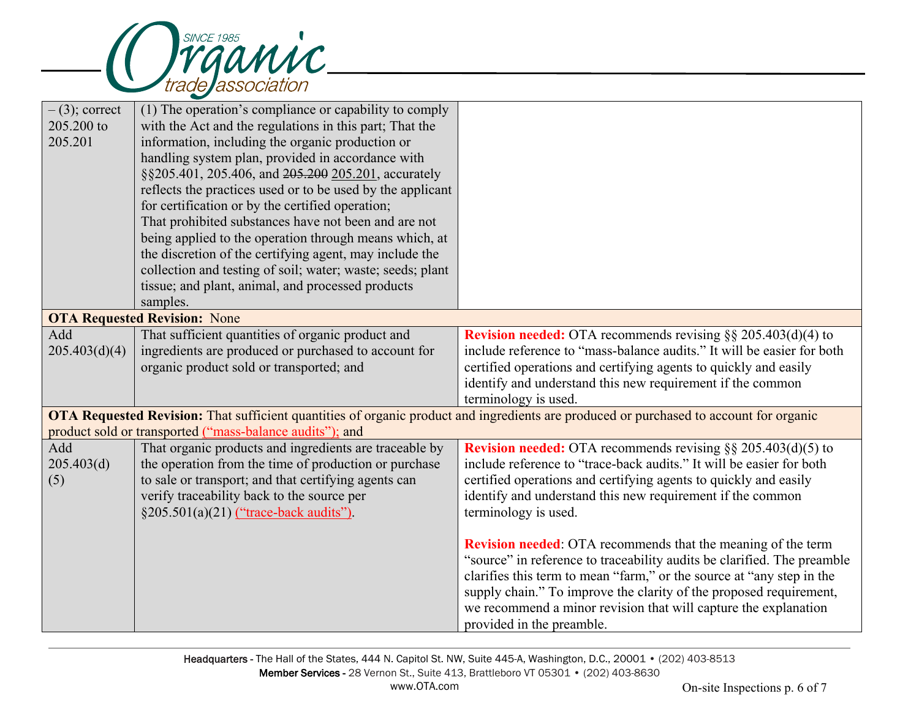

| $-$ (3); correct                                                                                                                              | (1) The operation's compliance or capability to comply     |                                                                         |  |
|-----------------------------------------------------------------------------------------------------------------------------------------------|------------------------------------------------------------|-------------------------------------------------------------------------|--|
| 205.200 to                                                                                                                                    | with the Act and the regulations in this part; That the    |                                                                         |  |
| 205.201                                                                                                                                       | information, including the organic production or           |                                                                         |  |
|                                                                                                                                               | handling system plan, provided in accordance with          |                                                                         |  |
|                                                                                                                                               | §§205.401, 205.406, and 205.200 205.201, accurately        |                                                                         |  |
|                                                                                                                                               | reflects the practices used or to be used by the applicant |                                                                         |  |
|                                                                                                                                               | for certification or by the certified operation;           |                                                                         |  |
|                                                                                                                                               | That prohibited substances have not been and are not       |                                                                         |  |
|                                                                                                                                               | being applied to the operation through means which, at     |                                                                         |  |
|                                                                                                                                               | the discretion of the certifying agent, may include the    |                                                                         |  |
|                                                                                                                                               | collection and testing of soil; water; waste; seeds; plant |                                                                         |  |
|                                                                                                                                               | tissue; and plant, animal, and processed products          |                                                                         |  |
|                                                                                                                                               | samples.                                                   |                                                                         |  |
| <b>OTA Requested Revision: None</b>                                                                                                           |                                                            |                                                                         |  |
| Add                                                                                                                                           | That sufficient quantities of organic product and          | <b>Revision needed:</b> OTA recommends revising $\S$ § 205.403(d)(4) to |  |
| 205.403(d)(4)                                                                                                                                 | ingredients are produced or purchased to account for       | include reference to "mass-balance audits." It will be easier for both  |  |
|                                                                                                                                               | organic product sold or transported; and                   | certified operations and certifying agents to quickly and easily        |  |
|                                                                                                                                               |                                                            | identify and understand this new requirement if the common              |  |
|                                                                                                                                               |                                                            | terminology is used.                                                    |  |
| <b>OTA Requested Revision:</b> That sufficient quantities of organic product and ingredients are produced or purchased to account for organic |                                                            |                                                                         |  |
| product sold or transported ("mass-balance audits"); and                                                                                      |                                                            |                                                                         |  |
| Add                                                                                                                                           | That organic products and ingredients are traceable by     | <b>Revision needed:</b> OTA recommends revising $\S$ § 205.403(d)(5) to |  |
| 205.403(d)                                                                                                                                    | the operation from the time of production or purchase      | include reference to "trace-back audits." It will be easier for both    |  |
| (5)                                                                                                                                           | to sale or transport; and that certifying agents can       | certified operations and certifying agents to quickly and easily        |  |
|                                                                                                                                               | verify traceability back to the source per                 | identify and understand this new requirement if the common              |  |
|                                                                                                                                               | §205.501(a)(21) ("trace-back audits").                     | terminology is used.                                                    |  |
|                                                                                                                                               |                                                            |                                                                         |  |
|                                                                                                                                               |                                                            | <b>Revision needed:</b> OTA recommends that the meaning of the term     |  |
|                                                                                                                                               |                                                            | "source" in reference to traceability audits be clarified. The preamble |  |
|                                                                                                                                               |                                                            | clarifies this term to mean "farm," or the source at "any step in the   |  |
|                                                                                                                                               |                                                            | supply chain." To improve the clarity of the proposed requirement,      |  |
|                                                                                                                                               |                                                            | we recommend a minor revision that will capture the explanation         |  |
|                                                                                                                                               |                                                            | provided in the preamble.                                               |  |
|                                                                                                                                               |                                                            |                                                                         |  |